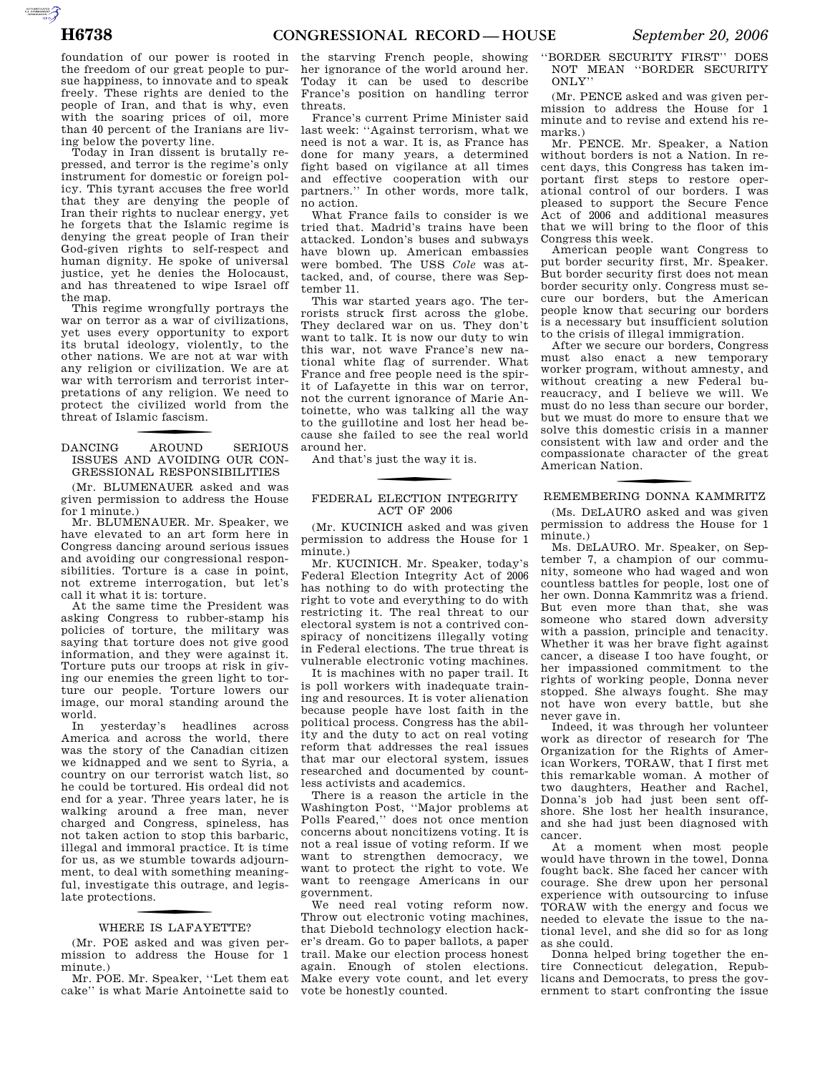AUTOROTOMICALE

foundation of our power is rooted in the freedom of our great people to pursue happiness, to innovate and to speak freely. These rights are denied to the people of Iran, and that is why, even with the soaring prices of oil, more than 40 percent of the Iranians are living below the poverty line.

Today in Iran dissent is brutally repressed, and terror is the regime's only instrument for domestic or foreign policy. This tyrant accuses the free world that they are denying the people of Iran their rights to nuclear energy, yet he forgets that the Islamic regime is denying the great people of Iran their God-given rights to self-respect and human dignity. He spoke of universal justice, yet he denies the Holocaust, and has threatened to wipe Israel off the map.

This regime wrongfully portrays the war on terror as a war of civilizations, yet uses every opportunity to export its brutal ideology, violently, to the other nations. We are not at war with any religion or civilization. We are at war with terrorism and terrorist interpretations of any religion. We need to protect the civilized world from the threat of Islamic fascism.

**AROUND** DANCING AROUND SERIOUS ISSUES AND AVOIDING OUR CON-GRESSIONAL RESPONSIBILITIES

(Mr. BLUMENAUER asked and was given permission to address the House for 1 minute.)

Mr. BLUMENAUER. Mr. Speaker, we have elevated to an art form here in Congress dancing around serious issues and avoiding our congressional responsibilities. Torture is a case in point, not extreme interrogation, but let's call it what it is: torture.

At the same time the President was asking Congress to rubber-stamp his policies of torture, the military was saying that torture does not give good information, and they were against it. Torture puts our troops at risk in giving our enemies the green light to torture our people. Torture lowers our image, our moral standing around the world.

In yesterday's headlines across America and across the world, there was the story of the Canadian citizen we kidnapped and we sent to Syria, a country on our terrorist watch list, so he could be tortured. His ordeal did not end for a year. Three years later, he is walking around a free man, never charged and Congress, spineless, has not taken action to stop this barbaric, illegal and immoral practice. It is time for us, as we stumble towards adjournment, to deal with something meaningful, investigate this outrage, and legislate protections.

# WHERE IS LAFAYETTE?

(Mr. POE asked and was given permission to address the House for 1 minute.)

Mr. POE. Mr. Speaker, ''Let them eat cake'' is what Marie Antoinette said to

the starving French people, showing her ignorance of the world around her. Today it can be used to describe France's position on handling terror threats.

France's current Prime Minister said last week: ''Against terrorism, what we need is not a war. It is, as France has done for many years, a determined fight based on vigilance at all times and effective cooperation with our partners.'' In other words, more talk, no action.

What France fails to consider is we tried that. Madrid's trains have been attacked. London's buses and subways have blown up. American embassies were bombed. The USS *Cole* was attacked, and, of course, there was September 11.

This war started years ago. The terrorists struck first across the globe. They declared war on us. They don't want to talk. It is now our duty to win this war, not wave France's new national white flag of surrender. What France and free people need is the spirit of Lafayette in this war on terror, not the current ignorance of Marie Antoinette, who was talking all the way to the guillotine and lost her head because she failed to see the real world around her.

And that's just the way it is.

## FEDERAL ELECTION INTEGRITY ACT OF 2006

(Mr. KUCINICH asked and was given permission to address the House for 1 minute.)

Mr. KUCINICH. Mr. Speaker, today's Federal Election Integrity Act of 2006 has nothing to do with protecting the right to vote and everything to do with restricting it. The real threat to our electoral system is not a contrived conspiracy of noncitizens illegally voting in Federal elections. The true threat is vulnerable electronic voting machines.

It is machines with no paper trail. It is poll workers with inadequate training and resources. It is voter alienation because people have lost faith in the political process. Congress has the ability and the duty to act on real voting reform that addresses the real issues that mar our electoral system, issues researched and documented by countless activists and academics.

There is a reason the article in the Washington Post, ''Major problems at Polls Feared,'' does not once mention concerns about noncitizens voting. It is not a real issue of voting reform. If we want to strengthen democracy, we want to protect the right to vote. We want to reengage Americans in our government.

We need real voting reform now. Throw out electronic voting machines, that Diebold technology election hacker's dream. Go to paper ballots, a paper trail. Make our election process honest again. Enough of stolen elections. Make every vote count, and let every vote be honestly counted.

''BORDER SECURITY FIRST'' DOES NOT MEAN ''BORDER SECURITY ONLY''

(Mr. PENCE asked and was given permission to address the House for 1 minute and to revise and extend his remarks.)

Mr. PENCE. Mr. Speaker, a Nation without borders is not a Nation. In recent days, this Congress has taken important first steps to restore operational control of our borders. I was pleased to support the Secure Fence Act of 2006 and additional measures that we will bring to the floor of this Congress this week.

American people want Congress to put border security first, Mr. Speaker. But border security first does not mean border security only. Congress must secure our borders, but the American people know that securing our borders is a necessary but insufficient solution to the crisis of illegal immigration.

After we secure our borders, Congress must also enact a new temporary worker program, without amnesty, and without creating a new Federal bureaucracy, and I believe we will. We must do no less than secure our border, but we must do more to ensure that we solve this domestic crisis in a manner consistent with law and order and the compassionate character of the great American Nation.

# f REMEMBERING DONNA KAMMRITZ

(Ms. DELAURO asked and was given permission to address the House for 1 minute.)

Ms. DELAURO. Mr. Speaker, on September 7, a champion of our community, someone who had waged and won countless battles for people, lost one of her own. Donna Kammritz was a friend. But even more than that, she was someone who stared down adversity with a passion, principle and tenacity. Whether it was her brave fight against cancer, a disease I too have fought, or her impassioned commitment to the rights of working people, Donna never stopped. She always fought. She may not have won every battle, but she never gave in.

Indeed, it was through her volunteer work as director of research for The Organization for the Rights of American Workers, TORAW, that I first met this remarkable woman. A mother of two daughters, Heather and Rachel, Donna's job had just been sent offshore. She lost her health insurance, and she had just been diagnosed with cancer.

At a moment when most people would have thrown in the towel, Donna fought back. She faced her cancer with courage. She drew upon her personal experience with outsourcing to infuse TORAW with the energy and focus we needed to elevate the issue to the national level, and she did so for as long as she could.

Donna helped bring together the entire Connecticut delegation, Republicans and Democrats, to press the government to start confronting the issue